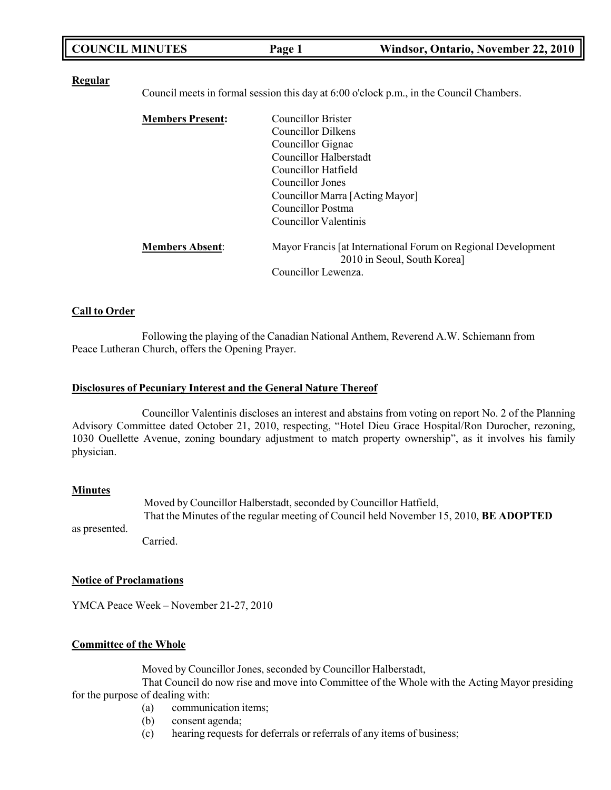| <b>COUNCIL MINUTES</b><br>Windsor, Ontario, November 22, 2010<br>Page 1 |  |
|-------------------------------------------------------------------------|--|
|-------------------------------------------------------------------------|--|

#### **Regular**

Council meets in formal session this day at 6:00 o'clock p.m., in the Council Chambers.

| <b>Members Present:</b> | Councillor Brister                                                                           |
|-------------------------|----------------------------------------------------------------------------------------------|
|                         | Councillor Dilkens                                                                           |
|                         | Councillor Gignac                                                                            |
|                         | Councillor Halberstadt                                                                       |
|                         | Councillor Hatfield                                                                          |
|                         | Councillor Jones                                                                             |
|                         | Councillor Marra [Acting Mayor]                                                              |
|                         | Councillor Postma                                                                            |
|                         | Councillor Valentinis                                                                        |
| <b>Members Absent:</b>  | Mayor Francis [at International Forum on Regional Development<br>2010 in Seoul, South Korea] |
|                         | Councillor Lewenza.                                                                          |

#### **Call to Order**

Following the playing of the Canadian National Anthem, Reverend A.W. Schiemann from Peace Lutheran Church, offers the Opening Prayer.

#### **Disclosures of Pecuniary Interest and the General Nature Thereof**

Councillor Valentinis discloses an interest and abstains from voting on report No. 2 of the Planning Advisory Committee dated October 21, 2010, respecting, "Hotel Dieu Grace Hospital/Ron Durocher, rezoning, 1030 Ouellette Avenue, zoning boundary adjustment to match property ownership", as it involves his family physician.

#### **Minutes**

Moved by Councillor Halberstadt, seconded by Councillor Hatfield, That the Minutes of the regular meeting of Council held November 15, 2010, **BE ADOPTED**

as presented.

#### Carried.

#### **Notice of Proclamations**

YMCA Peace Week – November 21-27, 2010

#### **Committee of the Whole**

Moved by Councillor Jones, seconded by Councillor Halberstadt,

That Council do now rise and move into Committee of the Whole with the Acting Mayor presiding for the purpose of dealing with:

- (a) communication items;
- (b) consent agenda;
- (c) hearing requests for deferrals or referrals of any items of business;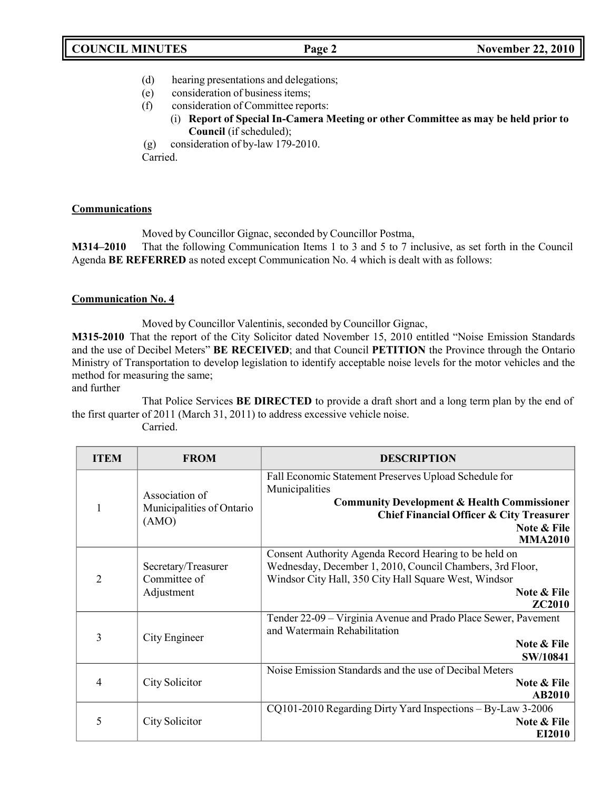- (d) hearing presentations and delegations;
- (e) consideration of business items;
- (f) consideration of Committee reports:
	- (i) **Report of Special In-Camera Meeting or other Committee as may be held prior to Council** (if scheduled);

(g) consideration of by-law 179-2010. Carried.

## **Communications**

Moved by Councillor Gignac, seconded by Councillor Postma,

**M314–2010** That the following Communication Items 1 to 3 and 5 to 7 inclusive, as set forth in the Council Agenda **BE REFERRED** as noted except Communication No. 4 which is dealt with as follows:

## **Communication No. 4**

Moved by Councillor Valentinis, seconded by Councillor Gignac,

**M315-2010** That the report of the City Solicitor dated November 15, 2010 entitled "Noise Emission Standards and the use of Decibel Meters" **BE RECEIVED**; and that Council **PETITION** the Province through the Ontario Ministry of Transportation to develop legislation to identify acceptable noise levels for the motor vehicles and the method for measuring the same;

and further

That Police Services **BE DIRECTED** to provide a draft short and a long term plan by the end of the first quarter of 2011 (March 31, 2011) to address excessive vehicle noise.

Carried.

| <b>ITEM</b>    | <b>FROM</b>                                          | <b>DESCRIPTION</b>                                                                                                                                                                                                        |
|----------------|------------------------------------------------------|---------------------------------------------------------------------------------------------------------------------------------------------------------------------------------------------------------------------------|
|                | Association of<br>Municipalities of Ontario<br>(AMO) | Fall Economic Statement Preserves Upload Schedule for<br>Municipalities<br><b>Community Development &amp; Health Commissioner</b><br><b>Chief Financial Officer &amp; City Treasurer</b><br>Note & File<br><b>MMA2010</b> |
| $\overline{2}$ | Secretary/Treasurer<br>Committee of<br>Adjustment    | Consent Authority Agenda Record Hearing to be held on<br>Wednesday, December 1, 2010, Council Chambers, 3rd Floor,<br>Windsor City Hall, 350 City Hall Square West, Windsor<br>Note & File<br><b>ZC2010</b>               |
| 3              | City Engineer                                        | Tender 22-09 - Virginia Avenue and Prado Place Sewer, Pavement<br>and Watermain Rehabilitation<br>Note & File<br>SW/10841                                                                                                 |
| 4              | City Solicitor                                       | Noise Emission Standards and the use of Decibal Meters<br><b>Note &amp; File</b><br><b>AB2010</b>                                                                                                                         |
| 5              | City Solicitor                                       | CQ101-2010 Regarding Dirty Yard Inspections - By-Law 3-2006<br>Note & File<br>EI2010                                                                                                                                      |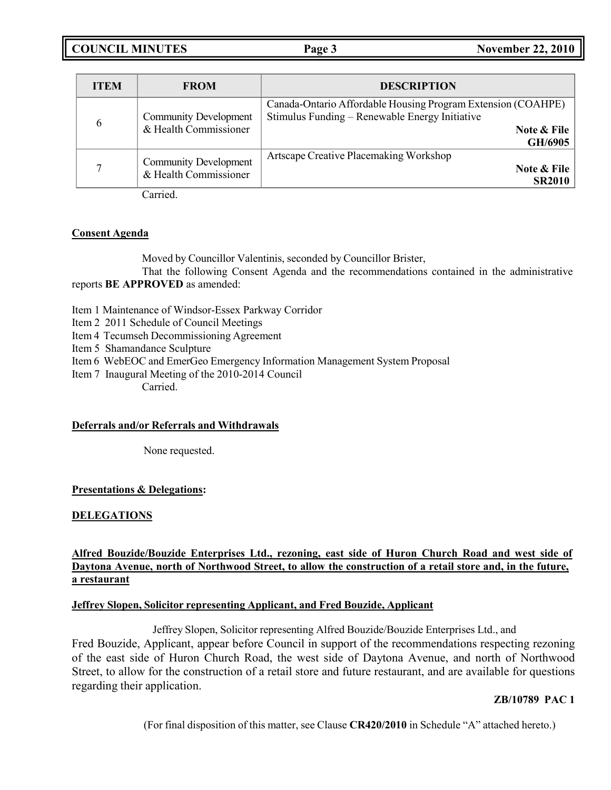**COUNCIL MINUTES Page 3 November 22, 2010**

| <b>ITEM</b> | <b>FROM</b>                                           | <b>DESCRIPTION</b>                                                                                                                       |
|-------------|-------------------------------------------------------|------------------------------------------------------------------------------------------------------------------------------------------|
| 6           | <b>Community Development</b><br>& Health Commissioner | Canada-Ontario Affordable Housing Program Extension (COAHPE)<br>Stimulus Funding - Renewable Energy Initiative<br>Note & File<br>GH/6905 |
|             | <b>Community Development</b><br>& Health Commissioner | Artscape Creative Placemaking Workshop<br>Note & File<br><b>SR2010</b>                                                                   |

Carried.

## **Consent Agenda**

Moved by Councillor Valentinis, seconded by Councillor Brister,

That the following Consent Agenda and the recommendations contained in the administrative reports **BE APPROVED** as amended:

Item 1 Maintenance of Windsor-Essex Parkway Corridor

- Item 2 2011 Schedule of Council Meetings
- Item 4 Tecumseh Decommissioning Agreement
- Item 5 Shamandance Sculpture
- Item 6 WebEOC and EmerGeo Emergency Information Management System Proposal
- Item 7 Inaugural Meeting of the 2010-2014 Council

Carried.

# **Deferrals and/or Referrals and Withdrawals**

None requested.

# **Presentations & Delegations:**

# **DELEGATIONS**

# **Alfred Bouzide/Bouzide Enterprises Ltd., rezoning, east side of Huron Church Road and west side of** Daytona Avenue, north of Northwood Street, to allow the construction of a retail store and, in the future, **a restaurant**

#### **Jeffrey Slopen, Solicitor representing Applicant, and Fred Bouzide, Applicant**

Jeffrey Slopen, Solicitor representing Alfred Bouzide/Bouzide Enterprises Ltd., and Fred Bouzide, Applicant, appear before Council in support of the recommendations respecting rezoning of the east side of Huron Church Road, the west side of Daytona Avenue, and north of Northwood Street, to allow for the construction of a retail store and future restaurant, and are available for questions regarding their application.

# **ZB/10789 PAC 1**

(For final disposition of this matter, see Clause **CR420/2010** in Schedule "A" attached hereto.)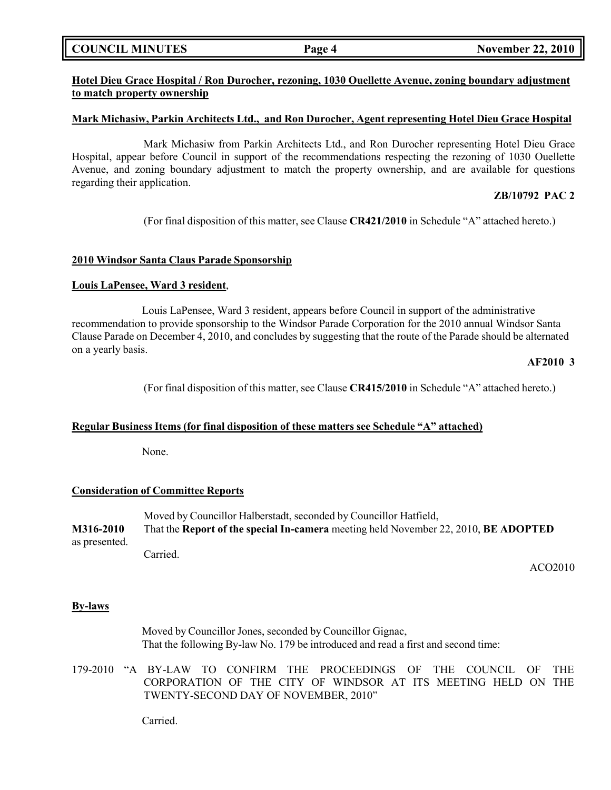### **COUNCIL MINUTES Page 4 November 22, 2010**

## **Hotel Dieu Grace Hospital / Ron Durocher, rezoning, 1030 Ouellette Avenue, zoning boundary adjustment to match property ownership**

#### **Mark Michasiw, Parkin Architects Ltd., and Ron Durocher, Agent representing Hotel Dieu Grace Hospital**

Mark Michasiw from Parkin Architects Ltd., and Ron Durocher representing Hotel Dieu Grace Hospital, appear before Council in support of the recommendations respecting the rezoning of 1030 Ouellette Avenue, and zoning boundary adjustment to match the property ownership, and are available for questions regarding their application.

#### **ZB/10792 PAC 2**

(For final disposition of this matter, see Clause **CR421/2010** in Schedule "A" attached hereto.)

#### **2010 Windsor Santa Claus Parade Sponsorship**

#### **Louis LaPensee, Ward 3 resident**,

Louis LaPensee, Ward 3 resident, appears before Council in support of the administrative recommendation to provide sponsorship to the Windsor Parade Corporation for the 2010 annual Windsor Santa Clause Parade on December 4, 2010, and concludes by suggesting that the route of the Parade should be alternated on a yearly basis.

### **AF2010 3**

(For final disposition of this matter, see Clause **CR415/2010** in Schedule "A" attached hereto.)

#### **Regular Business Items (for final disposition of these matters see Schedule "A" attached)**

None.

#### **Consideration of Committee Reports**

Moved by Councillor Halberstadt, seconded by Councillor Hatfield, **M316-2010** That the **Report of the special In-camera** meeting held November 22, 2010, **BE ADOPTED** as presented. Carried.

ACO2010

#### **By-laws**

Moved by Councillor Jones, seconded by Councillor Gignac, That the following By-law No. 179 be introduced and read a first and second time:

179-2010 "A BY-LAW TO CONFIRM THE PROCEEDINGS OF THE COUNCIL OF THE CORPORATION OF THE CITY OF WINDSOR AT ITS MEETING HELD ON THE TWENTY-SECOND DAY OF NOVEMBER, 2010"

Carried.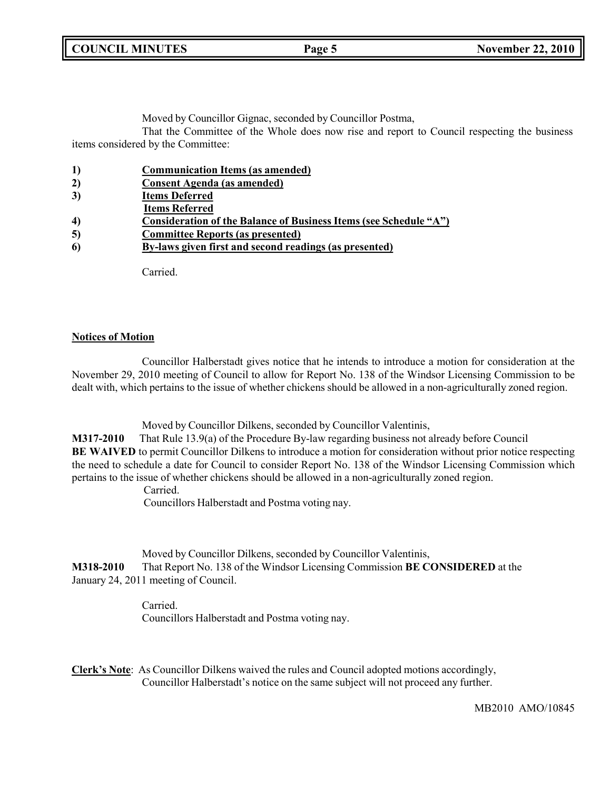**COUNCIL MINUTES Page 5 November 22, 2010**

Moved by Councillor Gignac, seconded by Councillor Postma,

That the Committee of the Whole does now rise and report to Council respecting the business items considered by the Committee:

| 1)               | <b>Communication Items (as amended)</b>                           |
|------------------|-------------------------------------------------------------------|
| 2)               | <b>Consent Agenda</b> (as amended)                                |
| 3)               | <b>Items Deferred</b>                                             |
|                  | <b>Items Referred</b>                                             |
| $\boldsymbol{4}$ | Consideration of the Balance of Business Items (see Schedule "A") |
| 5)               | <b>Committee Reports (as presented)</b>                           |
| 6                | By-laws given first and second readings (as presented)            |
|                  |                                                                   |

Carried.

## **Notices of Motion**

Councillor Halberstadt gives notice that he intends to introduce a motion for consideration at the November 29, 2010 meeting of Council to allow for Report No. 138 of the Windsor Licensing Commission to be dealt with, which pertains to the issue of whether chickens should be allowed in a non-agriculturally zoned region.

Moved by Councillor Dilkens, seconded by Councillor Valentinis,

**M317-2010** That Rule 13.9(a) of the Procedure By-law regarding business not already before Council **BE WAIVED** to permit Councillor Dilkens to introduce a motion for consideration without prior notice respecting the need to schedule a date for Council to consider Report No. 138 of the Windsor Licensing Commission which pertains to the issue of whether chickens should be allowed in a non-agriculturally zoned region.

Carried.

Councillors Halberstadt and Postma voting nay.

Moved by Councillor Dilkens, seconded by Councillor Valentinis, **M318-2010** That Report No. 138 of the Windsor Licensing Commission **BE CONSIDERED** at the January 24, 2011 meeting of Council.

> Carried. Councillors Halberstadt and Postma voting nay.

**Clerk's Note**: As Councillor Dilkens waived the rules and Council adopted motions accordingly, Councillor Halberstadt's notice on the same subject will not proceed any further.

MB2010 AMO/10845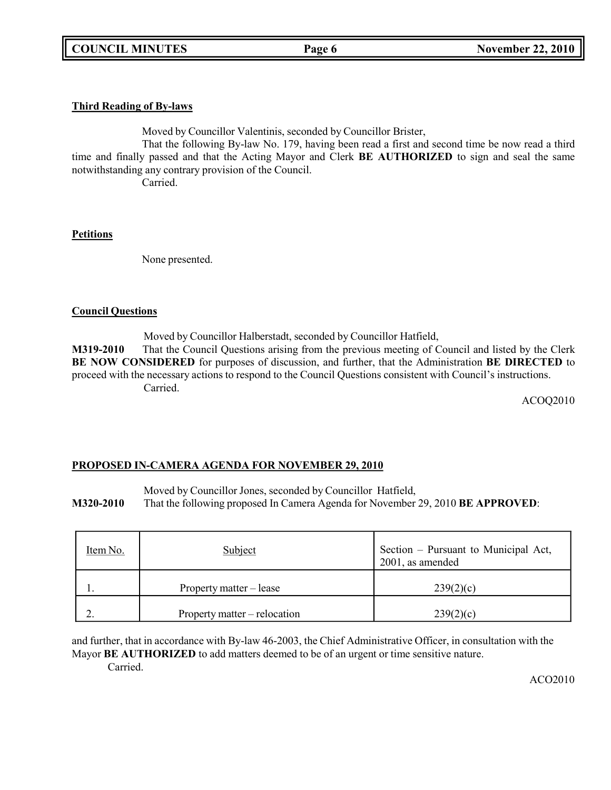## **Third Reading of By-laws**

Moved by Councillor Valentinis, seconded by Councillor Brister,

That the following By-law No. 179, having been read a first and second time be now read a third time and finally passed and that the Acting Mayor and Clerk **BE AUTHORIZED** to sign and seal the same notwithstanding any contrary provision of the Council.

Carried.

## **Petitions**

None presented.

## **Council Questions**

Moved by Councillor Halberstadt, seconded by Councillor Hatfield,

**M319-2010** That the Council Questions arising from the previous meeting of Council and listed by the Clerk **BE NOW CONSIDERED** for purposes of discussion, and further, that the Administration **BE DIRECTED** to proceed with the necessary actions to respond to the Council Questions consistent with Council's instructions. Carried.

ACOQ2010

# **PROPOSED IN-CAMERA AGENDA FOR NOVEMBER 29, 2010**

Moved by Councillor Jones, seconded by Councillor Hatfield,

**M320-2010** That the following proposed In Camera Agenda for November 29, 2010 **BE APPROVED**:

| Item No. | Subject                      | Section – Pursuant to Municipal Act,<br>2001, as amended |
|----------|------------------------------|----------------------------------------------------------|
|          | Property matter – lease      | 239(2)(c)                                                |
| <u>.</u> | Property matter – relocation | 239(2)(c)                                                |

and further, that in accordance with By-law 46-2003, the Chief Administrative Officer, in consultation with the Mayor **BE AUTHORIZED** to add matters deemed to be of an urgent or time sensitive nature.

Carried.

ACO2010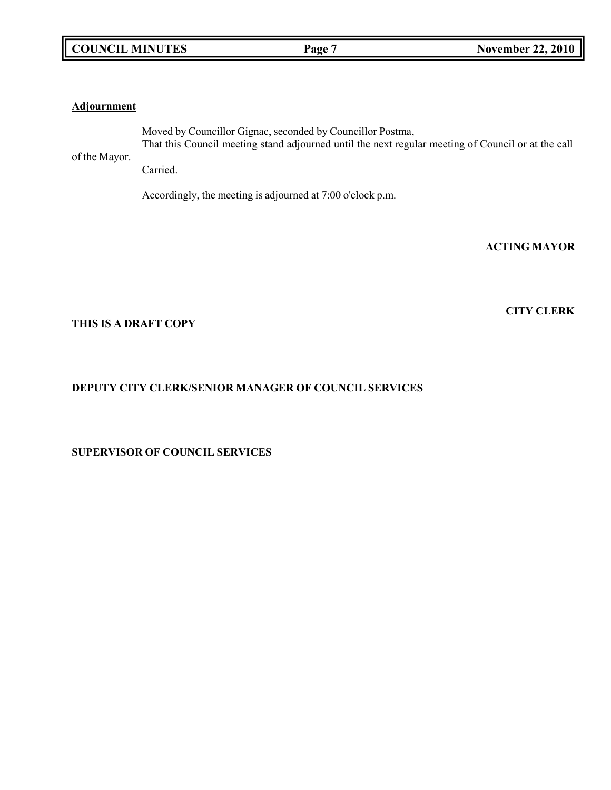|  | <b>COUNCIL MINUTES</b> |
|--|------------------------|
|--|------------------------|

## **Adjournment**

of the Mayor. Moved by Councillor Gignac, seconded by Councillor Postma, That this Council meeting stand adjourned until the next regular meeting of Council or at the call

Carried.

Accordingly, the meeting is adjourned at 7:00 o'clock p.m.

**ACTING MAYOR**

**CITY CLERK**

## **THIS IS A DRAFT COPY**

# **DEPUTY CITY CLERK/SENIOR MANAGER OF COUNCIL SERVICES**

# **SUPERVISOR OF COUNCIL SERVICES**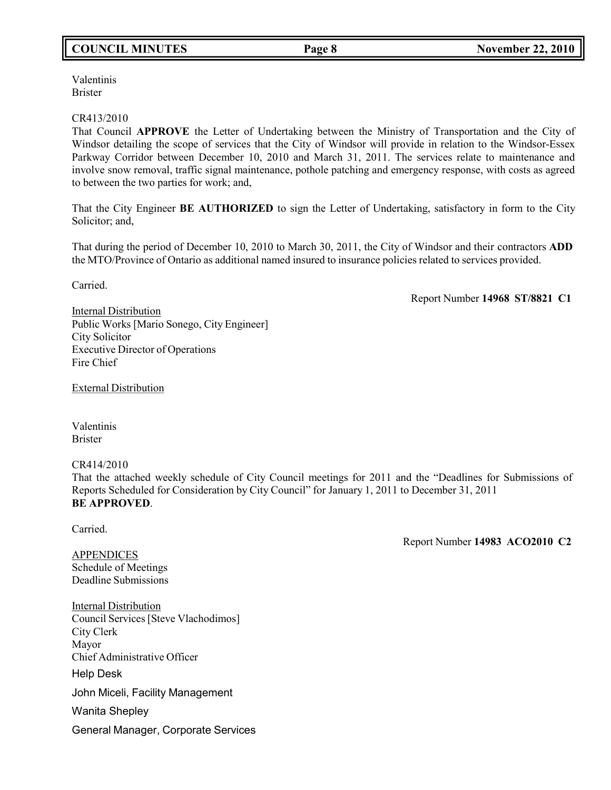# **COUNCIL MINUTES Page 8 November 22, 2010**

Valentinis Brister

#### CR413/2010

That Council **APPROVE** the Letter of Undertaking between the Ministry of Transportation and the City of Windsor detailing the scope of services that the City of Windsor will provide in relation to the Windsor-Essex Parkway Corridor between December 10, 2010 and March 31, 2011. The services relate to maintenance and involve snow removal, traffic signal maintenance, pothole patching and emergency response, with costs as agreed to between the two parties for work; and,

That the City Engineer **BE AUTHORIZED** to sign the Letter of Undertaking, satisfactory in form to the City Solicitor: and,

That during the period of December 10, 2010 to March 30, 2011, the City of Windsor and their contractors **ADD** the MTO/Province of Ontario as additional named insured to insurance policies related to services provided.

Carried.

Report Number **14968 ST/8821 C1**

Internal Distribution Public Works [Mario Sonego, City Engineer] City Solicitor Executive Director of Operations Fire Chief

External Distribution

Valentinis Brister

CR414/2010

That the attached weekly schedule of City Council meetings for 2011 and the "Deadlines for Submissions of Reports Scheduled for Consideration by City Council" for January 1, 2011 to December 31, 2011 **BE APPROVED**.

Carried.

Report Number **14983 ACO2010 C2**

APPENDICES Schedule of Meetings Deadline Submissions

Internal Distribution Council Services[Steve Vlachodimos] City Clerk Mayor Chief Administrative Officer Help Desk John Miceli, Facility Management Wanita Shepley General Manager, Corporate Services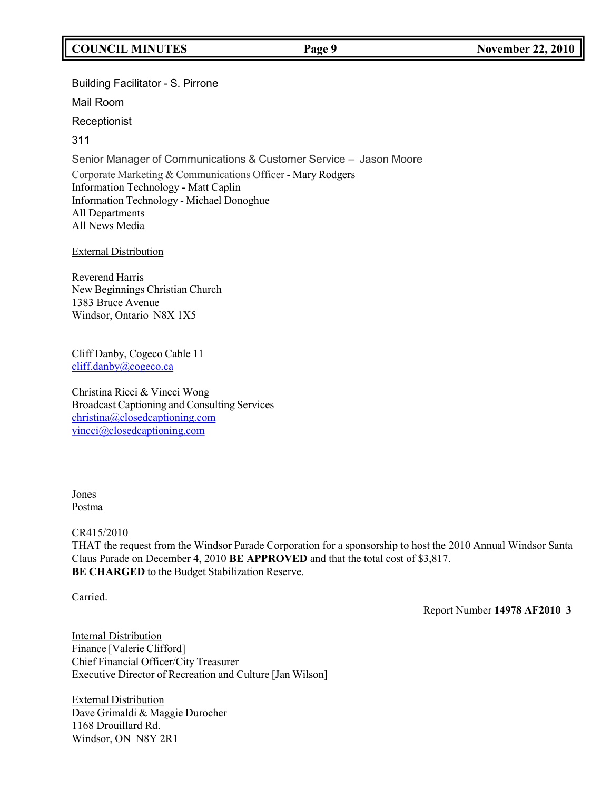# **COUNCIL MINUTES Page 9 November 22, 2010**

## Building Facilitator - S. Pirrone

Mail Room

**Receptionist** 

311

Senior Manager of Communications & Customer Service – Jason Moore Corporate Marketing & Communications Officer - Mary Rodgers Information Technology - Matt Caplin Information Technology - Michael Donoghue All Departments All News Media

## External Distribution

Reverend Harris New Beginnings Christian Church 1383 Bruce Avenue Windsor, Ontario N8X 1X5

Cliff Danby, Cogeco Cable 11 [cliff.danby@cogeco.ca](mailto:cliff.danby@cogeco.ca)

Christina Ricci & Vincci Wong Broadcast Captioning and Consulting Services [christina@closedcaptioning.com](mailto:christina@closedcaptioning.com) [vincci@closedcaptioning.com](mailto:vincci@closedcaptioning.com)

#### Jones Postma

#### CR415/2010

THAT the request from the Windsor Parade Corporation for a sponsorship to host the 2010 Annual Windsor Santa Claus Parade on December 4, 2010 **BE APPROVED** and that the total cost of \$3,817. **BE CHARGED** to the Budget Stabilization Reserve.

Carried.

Report Number **14978 AF2010 3**

**Internal Distribution** Finance [Valerie Clifford] Chief Financial Officer/City Treasurer Executive Director of Recreation and Culture [Jan Wilson]

External Distribution Dave Grimaldi & Maggie Durocher 1168 Drouillard Rd. Windsor, ON N8Y 2R1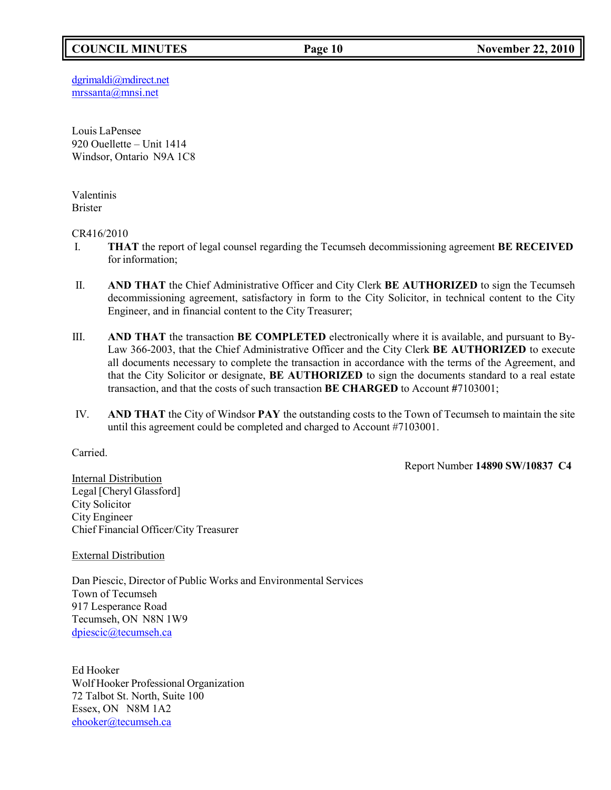# **COUNCIL MINUTES Page 10 November 22, 2010**

[dgrimaldi@mdirect.net](mailto:dgrimaldi@mdirect.net) [mrssanta@mnsi.net](mailto:mrssanta@mnsi.net)

Louis LaPensee 920 Ouellette – Unit 1414 Windsor, Ontario N9A 1C8

Valentinis Brister

CR416/2010

- I. **THAT** the report of legal counsel regarding the Tecumseh decommissioning agreement **BE RECEIVED** for information;
- II. **AND THAT** the Chief Administrative Officer and City Clerk **BE AUTHORIZED** to sign the Tecumseh decommissioning agreement, satisfactory in form to the City Solicitor, in technical content to the City Engineer, and in financial content to the City Treasurer;
- III. **AND THAT** the transaction **BE COMPLETED** electronically where it is available, and pursuant to By-Law 366-2003, that the Chief Administrative Officer and the City Clerk **BE AUTHORIZED** to execute all documents necessary to complete the transaction in accordance with the terms of the Agreement, and that the City Solicitor or designate, **BE AUTHORIZED** to sign the documents standard to a real estate transaction, and that the costs of such transaction **BE CHARGED** to Account **#**7103001;
- IV. **AND THAT** the City of Windsor **PAY** the outstanding costs to the Town of Tecumseh to maintain the site until this agreement could be completed and charged to Account #7103001.

Carried.

Report Number **14890 SW/10837 C4**

Internal Distribution Legal [Cheryl Glassford] City Solicitor City Engineer Chief Financial Officer/City Treasurer

External Distribution

Dan Piescic, Director of Public Works and Environmental Services Town of Tecumseh 917 Lesperance Road Tecumseh, ON N8N 1W9 [dpiescic@tecumseh.ca](mailto:dpiescic@tecumseh.ca)

Ed Hooker Wolf Hooker Professional Organization 72 Talbot St. North, Suite 100 Essex, ON N8M 1A2 [ehooker@tecumseh.ca](mailto:ehooker@tecumseh.ca)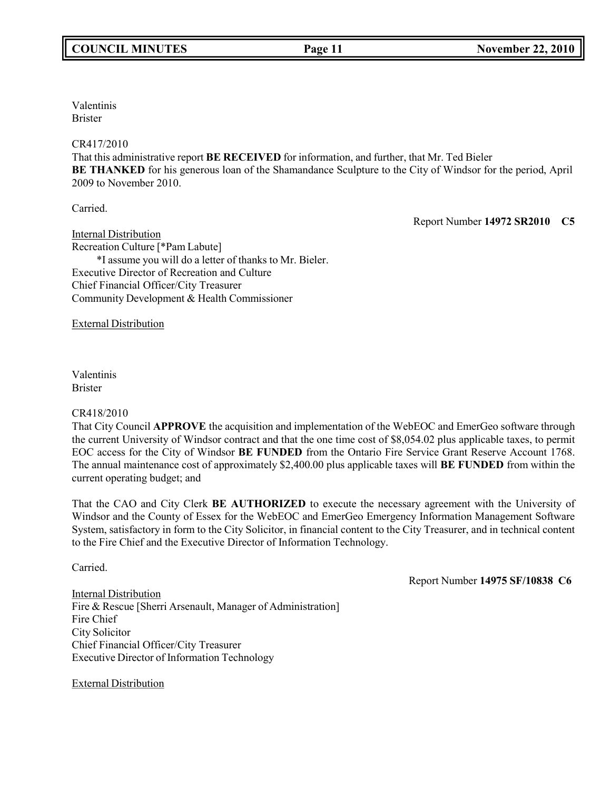Valentinis Brister

#### CR417/2010

That this administrative report **BE RECEIVED** for information, and further, that Mr. Ted Bieler **BE THANKED** for his generous loan of the Shamandance Sculpture to the City of Windsor for the period, April 2009 to November 2010.

Carried.

Report Number **14972 SR2010 C5**

Internal Distribution Recreation Culture [\*Pam Labute] \*I assume you will do a letter of thanks to Mr. Bieler. Executive Director of Recreation and Culture Chief Financial Officer/City Treasurer Community Development & Health Commissioner

External Distribution

Valentinis Brister

#### CR418/2010

That City Council **APPROVE** the acquisition and implementation of the WebEOC and EmerGeo software through the current University of Windsor contract and that the one time cost of \$8,054.02 plus applicable taxes, to permit EOC access for the City of Windsor **BE FUNDED** from the Ontario Fire Service Grant Reserve Account 1768. The annual maintenance cost of approximately \$2,400.00 plus applicable taxes will **BE FUNDED** from within the current operating budget; and

That the CAO and City Clerk **BE AUTHORIZED** to execute the necessary agreement with the University of Windsor and the County of Essex for the WebEOC and EmerGeo Emergency Information Management Software System, satisfactory in form to the City Solicitor, in financial content to the City Treasurer, and in technical content to the Fire Chief and the Executive Director of Information Technology.

Carried.

Report Number **14975 SF/10838 C6**

Internal Distribution Fire & Rescue [Sherri Arsenault, Manager of Administration] Fire Chief City Solicitor Chief Financial Officer/City Treasurer Executive Director of Information Technology

External Distribution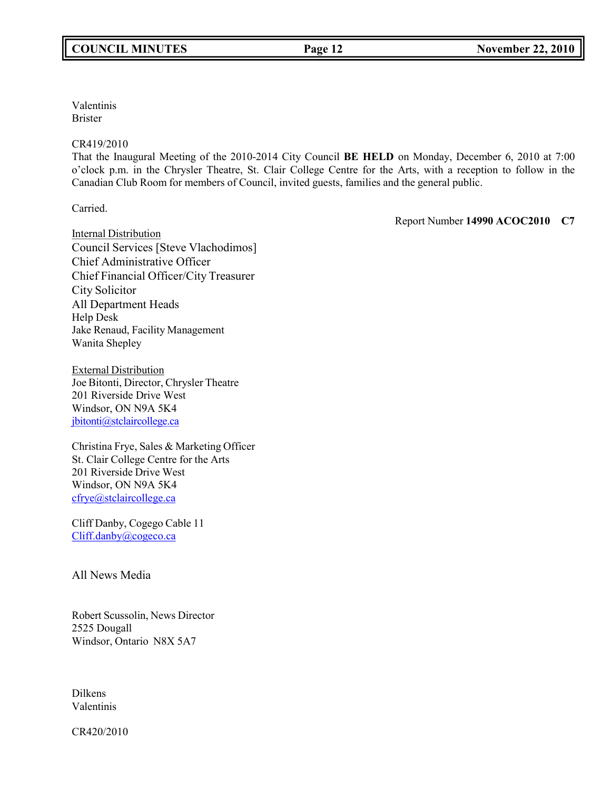Valentinis Brister

#### CR419/2010

That the Inaugural Meeting of the 2010-2014 City Council **BE HELD** on Monday, December 6, 2010 at 7:00 o'clock p.m. in the Chrysler Theatre, St. Clair College Centre for the Arts, with a reception to follow in the Canadian Club Room for members of Council, invited guests, families and the general public.

Carried.

Report Number **14990 ACOC2010 C7**

Internal Distribution Council Services [Steve Vlachodimos] Chief Administrative Officer Chief Financial Officer/City Treasurer City Solicitor All Department Heads Help Desk Jake Renaud, Facility Management Wanita Shepley

External Distribution Joe Bitonti, Director, Chrysler Theatre 201 Riverside Drive West Windsor, ON N9A 5K4 [jbitonti@stclaircollege.ca](mailto:jbitonti@stclaircollege.ca)

Christina Frye, Sales & Marketing Officer St. Clair College Centre for the Arts 201 Riverside Drive West Windsor, ON N9A 5K4 [cfrye@stclaircollege.ca](mailto:cfrye@stclaircollege.ca)

Cliff Danby, Cogego Cable 11 [Cliff.danby@cogeco.ca](mailto:Cliff.danby@cogeco.ca)

All News Media

Robert Scussolin, News Director 2525 Dougall Windsor, Ontario N8X 5A7

Dilkens Valentinis

CR420/2010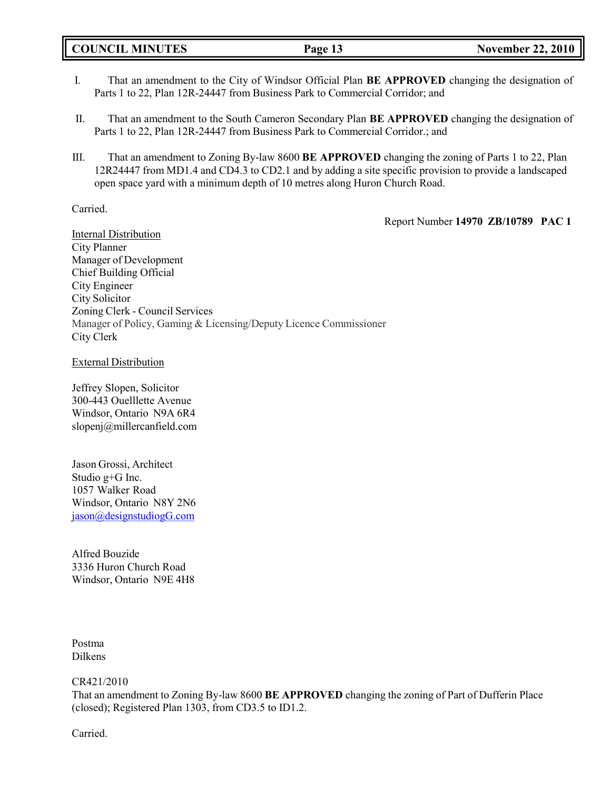- I. That an amendment to the City of Windsor Official Plan **BE APPROVED** changing the designation of Parts 1 to 22, Plan 12R-24447 from Business Park to Commercial Corridor; and
- II. That an amendment to the South Cameron Secondary Plan **BE APPROVED** changing the designation of Parts 1 to 22, Plan 12R-24447 from Business Park to Commercial Corridor.; and
- III. That an amendment to Zoning By-law 8600 **BE APPROVED** changing the zoning of Parts 1 to 22, Plan 12R24447 from MD1.4 and CD4.3 to CD2.1 and by adding a site specific provision to provide a landscaped open space yard with a minimum depth of 10 metres along Huron Church Road.

#### Carried.

Report Number **14970 ZB/10789 PAC 1**

Internal Distribution City Planner Manager of Development Chief Building Official City Engineer City Solicitor Zoning Clerk - Council Services Manager of Policy, Gaming & Licensing/Deputy Licence Commissioner City Clerk

External Distribution

Jeffrey Slopen, Solicitor 300-443 Ouelllette Avenue Windsor, Ontario N9A 6R4 [slopenj@millercanfield.com](mailto:slopenj@millercanfield.com)

Jason Grossi, Architect Studio g+G Inc. 1057 Walker Road Windsor, Ontario N8Y 2N6 [jason@designstudiogG.com](mailto:jason@designstudiogG.com)

Alfred Bouzide 3336 Huron Church Road Windsor, Ontario N9E 4H8

Postma Dilkens

CR421/2010

That an amendment to Zoning By-law 8600 **BE APPROVED** changing the zoning of Part of Dufferin Place (closed); Registered Plan 1303, from CD3.5 to ID1.2.

Carried.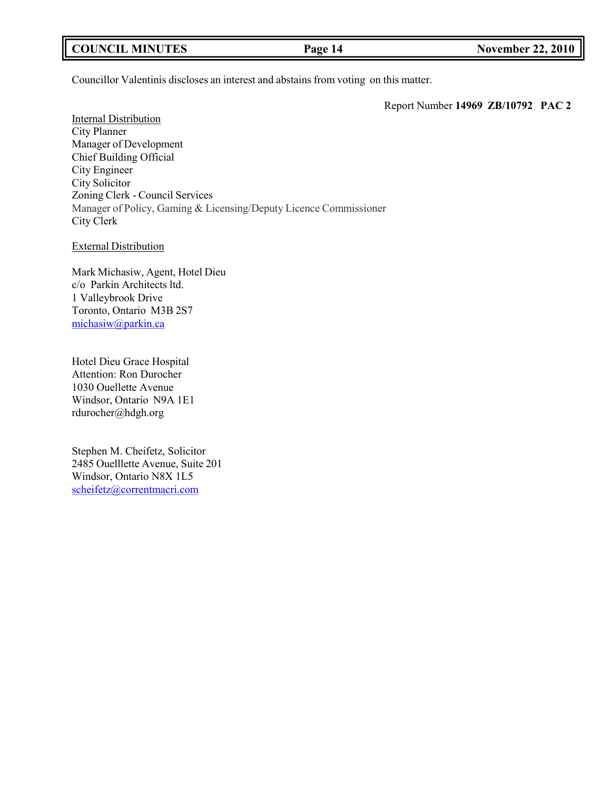| <b>COUNCIL MINUTES</b> | Page 14 | <b>November 22, 2010</b> |
|------------------------|---------|--------------------------|
|                        |         |                          |

Councillor Valentinis discloses an interest and abstains from voting on this matter.

Report Number **14969 ZB/10792 PAC 2**

**Internal Distribution** City Planner Manager of Development Chief Building Official City Engineer City Solicitor Zoning Clerk - Council Services Manager of Policy, Gaming & Licensing/Deputy Licence Commissioner City Clerk

External Distribution

Mark Michasiw, Agent, Hotel Dieu c/o Parkin Architects ltd. 1 Valleybrook Drive Toronto, Ontario M3B 2S7 [michasiw@parkin.ca](mailto:michasiw@parkin.ca)

Hotel Dieu Grace Hospital Attention: Ron Durocher 1030 Ouellette Avenue Windsor, Ontario N9A 1E1 [rdurocher@hdgh.org](mailto:rdurocher@hdgh.org)

Stephen M. Cheifetz, Solicitor 2485 Ouelllette Avenue, Suite 201 Windsor, Ontario N8X 1L5 [scheifetz@correntmacri.com](mailto:scheifetz@correntmacri.com)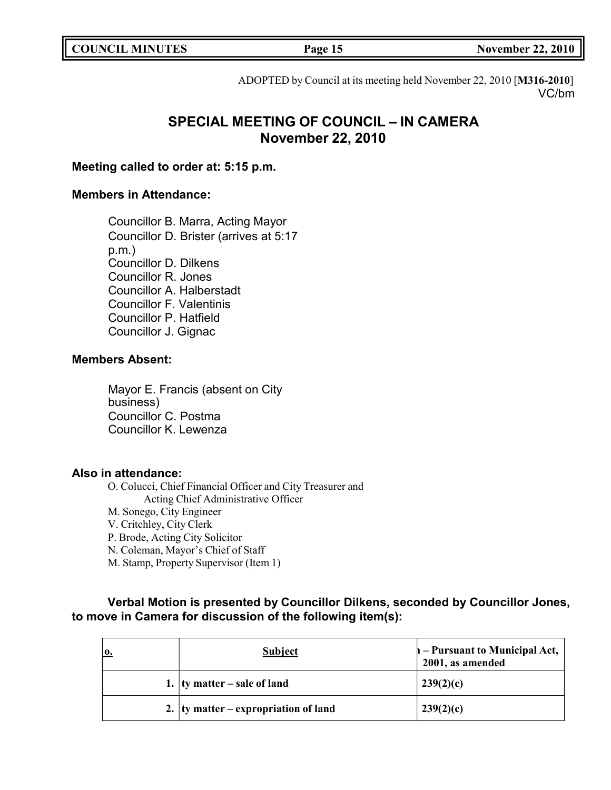| <b>COUNCIL MINUTES</b> |  |
|------------------------|--|
|------------------------|--|

**COUNCIL MINUTES Page 15 November 22, 2010**

ADOPTED by Council at its meeting held November 22, 2010 [**M316-2010**] VC/bm

# **SPECIAL MEETING OF COUNCIL – IN CAMERA November 22, 2010**

# **Meeting called to order at: 5:15 p.m.**

# **Members in Attendance:**

Councillor B. Marra, Acting Mayor Councillor D. Brister (arrives at 5:17 p.m.) Councillor D. Dilkens Councillor R. Jones Councillor A. Halberstadt Councillor F. Valentinis Councillor P. Hatfield Councillor J. Gignac

## **Members Absent:**

Mayor E. Francis (absent on City business) Councillor C. Postma Councillor K. Lewenza

# **Also in attendance:**

O. Colucci, Chief Financial Officer and City Treasurer and Acting Chief Administrative Officer M. Sonego, City Engineer V. Critchley, City Clerk P. Brode, Acting City Solicitor N. Coleman, Mayor's Chief of Staff M. Stamp, Property Supervisor (Item 1)

**Verbal Motion is presented by Councillor Dilkens, seconded by Councillor Jones, to move in Camera for discussion of the following item(s):**

| 10. | <b>Subject</b>                           | $h$ – Pursuant to Municipal Act,<br>2001, as amended |
|-----|------------------------------------------|------------------------------------------------------|
|     | 1. $\vert$ ty matter – sale of land      | 239(2)(c)                                            |
|     | 2. $ $ ty matter – expropriation of land | 239(2)(c)                                            |